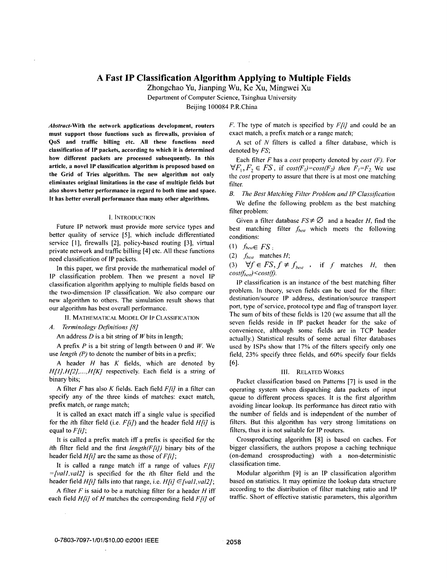# **A Fast IP Classification Algorithm Applying to Multiple Fields**

Zhongchao Yu, Jianping Wu, Ke Xu, Mingwei Xu

Department of Computer Science, Tsinghua University

Beijing 100084 P.R.China

**Abstract-With the network applications development, routers must support those functions such as firewalls, provision of QoS and traffic billing etc. All these functions need classification of IP packets, according to which it is determined how different packets are processed subsequently. In this article, a novel IP classification algorithm is proposed based on the Grid of Tries algorithm. The new algorithm not only eliminates original limitations in the case of multiple fields but also shows better performance in regard to both time and space. It has better overall performance than many other algorithms.** 

### I. INTRODUCTION

Future **IP** network must provide more service types and better quality of service *[5],* which include differentiated service [ 11, firewalls **[2],** policy-based routing [3], virtual private network and traffic billing [4] etc. All these functions need classification of **IP** packets.

In this paper, we first provide the mathematical model of IP classification problem. Then we present a novel **IP**  classification algorithm applying to multiple fields based on thc two-dimension IP classification. We also compare our new algorithm to others. The simulation result shows that our algorithm has best overall performance.

**11.** MATHEMATICAL MODEL OF **IP** CLASSIFICATION

*A.* Terminology Definitions **[S]** 

An address *D* is a bit string of *W* bits in length;

**A** prefix *P* is a bit string of length between 0 and *W.* We use length *(P)* to denote the number of bits in a prefix;

**A** header *H* has *K* fields, which are denoted by *H[I],H[2],...,H[K]* respectively. Each field is a string of binary bits;

A filter  $F$  has also  $K$  fields. Each field  $F[i]$  in a filter can specify any of the three kinds of matches: exact match, prefix match, or range match;

It is called an exact match iff a single value is specified for the *i*th filter field (i.e.  $F[i]$ ) and the header field  $H[i]$  is equal to *Ffi];* 

It is called a prefix match iff a prefix is specified for the ith filter field and the first length( $F[i]$ ) binary bits of the header field  $H[i]$  are the same as those of  $F[i]$ ;

It is called a range match iff a range of values  $F[i]$ *=[valI,val2]* is specified for the ith filter field and the header field *Hfi]* falls into that range, i.e. *Hfi] E[vall,va12];* 

**A** filter *F* is said to be a matching filter for a header *H* iff each field  $H[i]$  of *H* matches the corresponding field  $F[i]$  of F. The type of match is specified by *F[i]* and could be an exact match, a prefix match or a range match;

A set of *N* filters is called a filter database, which is denoted by FS;

Each filter *F* has a cost property denoted by cost *(F).* For  $\forall F_1, F_2 \in FS$ , if  $cost(F_1)=cost(F_2)$  then  $F_1=F_2$  We use the *cost* property to assure that there is at most one matching filter.

*B.* The Best Matching Filter Problem *and IP* Classification We define the following problem as the best matching filter problem:

Given a filter database  $FS \neq \emptyset$  and a header *H*, find the best matching filter  $f_{best}$  which meets the following conditions:

 $(1)$  *f*<sub>best</sub> $\in$  *FS*;

 $(2)$   $f_{best}$  matches  $H$ ;

(3)  $\forall f \in FS, f \neq f_{best}$ , if f matches *H*, then  $cost(f_{best}) \leq cost(f).$ 

IP classification is an instance of the best matching filter problem. In theory, seven fields can be used for the filter: destination/source IP address, destination/source transport port, type of service, protocol type and flag of transport layer. The sum of bits of these fields is 120 (we assume that all the seven fields reside in IP packet header for the sake of convenience, although some fields are in TCP header actually.) Statistical results of some actual filter databases used by lSPs show that 17% of the filters specify only one field, 23% specify three fields, and 60% specify four fields [61.

## **Ill.** RELATED WORKS

Packet classification based on Patterns [7] is used in the operating system when dispatching data packets of input queue to different process spaces. It is the first algorithm avoiding linear lookup. Its performance has direct ratio with the number of fields and is independent of the number of filters. But this algorithm has very strong limitations on filters, thus it is not suitable for IP routers.

Crossproducting algorithm **[8]** is based on caches. For bigger classifiers, the authors propose a caching technique (on-demand crossproducting) with a non-deterministic classification time.

Modular algorithm [9] is an **IP** classification algorithm based on statistics. It may optimize the lookup data structure according to the distribution of filter matching ratio and IP traffic. Short of effective statistic parameters, this algorithm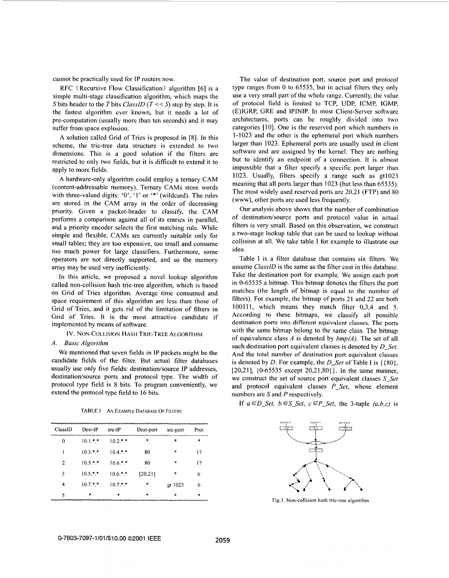<span id="page-1-0"></span>cannot be practically used for IP routers now.

RFC (Recursive Flow Classification) algorithm [6] is a simple multi-stage classification algorithm, which maps the *S* bits header to the *T* bits *ClassID* (*T* <  $\le$  *S*) step by step. It is the fastest algorithm ever known, but it needs a lot of pre-computation (usually more than ten seconds) and it may suffer from space explosion.

A solution called Grid of Tries is proposed in [SI. In this scheme, the trie-tree data structure is extended to two dimensions. This is a good solution if the filters are restricted to only two fields, but it is difficult to extend it to apply to more fields.

A hardware-only algorithm could employ a ternary CAM (content-addressable memory). Ternary CAMs store words with three-valued digits: '0', '1' or '\*' (wildcard). The rules are stored in the CAM array in the order of decreasing priority. Given a packet-header to classify, the CAM performs a comparison against all of its entries in parallel, and a priority encoder selects the first matching rule. While simple and flexible, CAMs are currently suitable only for small tables; they are **too** expensive, too small and consume too much power for large classifiers. Furthermore, some operators are not directly supported, and *so* the memory array may be used very inefficiently.

In this article, we proposed a novel lookup algorithm called non-collision hash trie-tree algorithm, which is based on Grid of Tries algorithm. Average time consumed and space requirement of this algorithm are less than those of Grid of Tries, and it gets rid of the limitation of filters in Grid of Tries. It is the most attractive candidate if implemented by means of software.

IV. NON-COLLISION *HASH* TRIE-TREE ALGORITHM

## *A. Basic Algorithm*

We mentioned that seven fields in 1P packets might be the candidate fields of the filter. But actual filter databases usually use only five fields: destination/source IP addresses, destination/source ports and protocol type. The width of protocol type field is 8 bits. To program conveniently, we extend the protocol type field to 16 bits.<br> *PABLET AN EXAMPLE DATABASE OF FILTERS*<br> *PABLET* AN *P P P P P P P POSt-port Prot Prot* extend the protocol type field to 16 bits.

| TABLE I<br>AN EXAMPLE DATABASE OF FILTERS |  |
|-------------------------------------------|--|
|-------------------------------------------|--|

| ClassID | Dest-IP    | src-IP     | Dest-port | src-port | Prot   |
|---------|------------|------------|-----------|----------|--------|
| ∩       | $10.1.*$   | $10.2**$   | *         | ÷        | $\ast$ |
|         | $10.3$ * * | $10.4$ * * | 80        | ∗        | 17     |
| 2       | $10.5$ * * | $106$ * *  | 80        | *        | 17     |
| 3       | $10.5**$   | $10.6.*.*$ | [20,21]   | $\ast$   | 6      |
| 4       | $10.7**$   | $10.7$ * * | *         | gt 1023  | 6      |
| ٢       | $\ast$     | $\ast$     | $\ast$    | $\star$  | $\ast$ |

The value of destination port, source port and protocol type ranges from 0 to 65535, but in actual filters they only use a very small part of the whole range. Currently, the value of protocol field is limited to TCP, UDP, ICMP, IGMP, (E)IGRP, GRE and IPINIP. In most Client-Server software architectures, ports can be roughly divided into two categories [10]. One is the reserved port which numbers in 1-1023 and the other is the ephemeral port which numbers larger than 1023. Ephemeral ports are usually used in client software and are assigned by the kernel. They are nothing but to identify an endpoint of a connection. It is almost impossible that a filter specify a specific port larger than 1023. Usually, filters specify a range such as gt1023 meaning that all ports larger than 1023 (but less than 65535). The most widely used reserved ports are 20,21 (FTP) and 80 (www), other ports are used less frequently.

Our analysis above shows that the number of combination of destination/source ports and protocol value in actual filters is very small. Based on this observation, we construct a two-stage lookup table that can be used to lookup without collision at all. We take table I for example to illustrate our idea.

Table **I** is a filter database that contains six filters. We assume *ClassID* is the same as the filter cost in this database. Take the destination port for example. We assign each port in 0-65535 a bitmap. This bitmap denotes the filters the port matches (the length of bitmap is equal to the number of filters). For example, the bitmap of ports 21 and 22 are both 100111, which means they match filter 0,3,4 and 5. According to these bitmaps, we classify all possible destination **ports** into different equivalent classes. The ports with the same bitmap belong to the same class. The bitmap of equivalence class *A* is denoted by *bmp(A).* The set of all such destination port equivalent classes is denoted by *D-Set.*  And the total number of destination port equivalent classes is denoted by *D*. For example, the *D\_Set* of Table I is  $\{\{80\},\}$ [20,21], {0-65535 except 20,21,80}}. In the same manner, we construct the set of source port equivalent classes *S-Set*  and protocol equivalent classes *P-Set,* whose element numbers are *S* and *P* respectively.

If  $a \in D$  Set,  $b \in S$  Set,  $c \in P$  Set, the 3-tuple  $(a, b, c)$  is



Fig. 1. Non-collision hash trie-tree algorithm

 $\sim$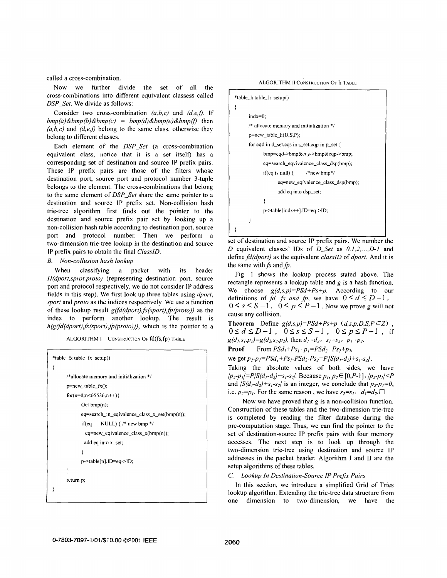called a cross-combination.

Now we further divide the set of all the cross-combinations into different equivalent classess called *DSP-Set.* We divide as follows:

Consider two cross-combination *(a,b,c)* and *(d,e,f)*. If  $bmp(a)$ &*bmp*(*b*)&*bmp*(*c*) =  $bmp(d)$ &*bmp*(*e*)&*bmp*(*f*) then  $(a,b,c)$  and  $(d,e,f)$  belong to the same class, otherwise they belong to different classes.

Each element of the *DSP-Set* (a cross-combination equivalent class, notice that it is a set itself) has a corresponding set of destination and source IP prefix pairs. These IP prefix pairs are those of the filters whose destination port, source port and protocol number 3-tuple belongs to the element. The cross-combinations that belong to the same element of *DSP-Set* share the same pointer to a destination and source IP prefix set. Non-collision hash trie-tree algorithm first finds out the pointer to the destination and source prefix pair set by looking up a non-collision hash table according to destination port, source port and protocol number. Then we perform a two-dimension trie-tree lookup in the destination and source IP prefix pairs to obtain the final *ClasslD.* 

# *B. Non-collusion hash lookup*

When classifying a packet with its header *H(dport,sprot,proto)* (representing destination port, source port and protocol respectively, we do not consider **IP** address fields in this step). We first look up three tables using *dport, sport* and *proto* as the indices respectively. We use a function of these lookup result *gdfd(dport),js(sport),fp(proto))* as the index to perform another lookup. The result is  $h(g(fd(dport),fs(sport),fp(proto)))$ , which is the pointer to a

ALGORITHM **I** CONSTRUCTION OF **fd(fs,fp)** TABLE

```
*table_fx table_fx_setup()
\left\{ \right./*allocate memory and initialization */ 
      p=new table-fx();
      for(n=0;n<65536,n++){
             Get bmp(n);
             eq=search-in-eqivalence-class-x-set(bmp(n)); 
             if(eq == NULL) {/* new bmp */eq=new-eqivalence-class-x( bmp(n)); 
              add eq into x_set;
             ) 
             p->table[n].ID=eq->ID; 
      1 
      return p;
```


set of destination and source IP prefix pairs. We number the *D* equivalent classes' **IDS** of *D-Set* as *0,1,2* ,..., *D-I* and define *fd(dport)* as the equivalent *classID* of *dport.* And it is the same with  $fs$  and  $fp$ .

[Fig. 1](#page-1-0) shows the lookup process stated above. The rectangle represents a lookup table and  $g$  is a hash function. We choose *g(d,s,p)=PSd+Ps+p.* According to our definitions of *fd, fs and fp, we have*  $0 \le d \le D-1$ ,  $0 \leq s \leq S-1$ ,  $0 \leq p \leq P-1$ . Now we prove g will not cause any collision.

**Theorem** Define  $g(d,s,p)=PSd+Ps+p$   $(d,s,p,D,S,P\in\mathbb{Z})$  $0 \le d \le D-1$ ,  $0 \le s \le S-1$ ,  $0 \le p \le P-1$ , if  $g(d_1,s_1,p_1)=g(d_2,s_2,p_2)$ , then  $d_1=d_2$ ,  $s_1=s_2$ ,  $p_1=p_2$ .

**Proof** From  $PSd_1 + Ps_1 + p_5 = PSd_2 + Ps_2 + p_2$ ,

we get  $p_2 - p_1 = PSd_1 + Ps_1 - PSd_2 - Ps_2 = P[ S(d_1 - d_2) + s_1 - s_2].$ 

Taking the absolute values of both sides, we have  $/p_2-p_1|=P/S(d_1-d_2)+s_1-s_2$ . Because  $p_1, p_2 \in [0,P-1]$ ,  $/p_2-p_1| \leq P$ and  $\sqrt{S(d_1-d_2)+s_1-s_2}$  is an integer, we conclude that  $p_2-p_1=0$ , i.e.  $p_2=p_1$ . For the same reason, we have  $s_2=s_1$ ,  $d_1=d_2$ .

Now we have proved that  $g$  is a non-collision function. Construction of these tables and the two-dimension trie-tree is completed by reading the filter database during the pre-computation stage. Thus, we can find the pointer to the set of destination-source IP prefix pairs with four memory accesses. The next step is to look up through the two-dimension trie-tree using destination and source IP addresses in the packet header. Algorithm **I** and I1 are the setup algorithms of these tables.

# C. *Lookup In Destination-Source IP Prefx Pairs*

In this section, we introduce a simplified Grid of Tries lookup algorithm. Extending the trie-tree data structure from one dimension to two-dimension, we have the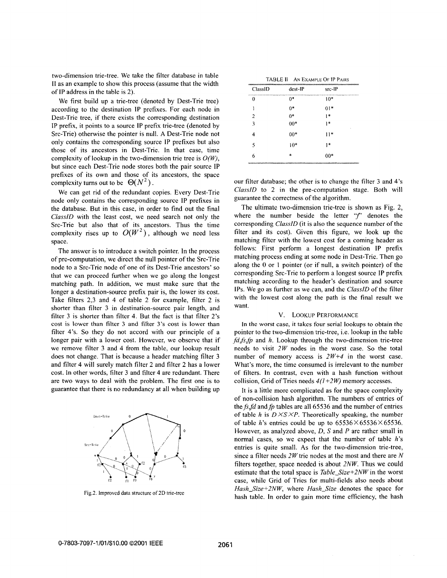two-dimension trie-tree. We take the filter database in table **11** as an example to show this process (assume that the width of IP address in the table is 2).

We first build up a trie-tree (denoted by Dest-Trie tree) according to the destination IP prefixes. For each node in Dest-Trie tree, if there exists the corresponding destination IP prefix, it points to a source 1P prefix trie-tree (denoted by Src-Trie) otherwise the pointer is null. **A** Dest-Trie node not only contains the corresponding source IP prefixes but also those of its ancestors in Dest-Trie. In that case, time complexity of lookup in the two-dimension trie tree is  $O(W)$ . but since each Dest-Trie node stores both the pair source IP prefixes of its own and those of its ancestors, the space complexity turns out to be  $\Theta(N^2)$ .

We can get rid of the redundant copies. Every Dest-Trie node only contains the corresponding source IP prefixes in the database. But in this case, in order to find out the final *ClassID* with the least cost, we need search not only the Src-Trie but also that of its ancestors. Thus the time complexity rises up to  $O(W^2)$ , although we need less space.

The answer is to introduce a switch pointer. In the process of pre-computation, we direct the null pointer of the Src-Trie node to a Src-Trie node of one of its Dest-Trie ancestors' *so*  that we can proceed further when we go along the longest matching path. In addition, we must make sure that the longer a destination-source prefix pair is, the lower its cost. Take filters 2,3 and 4 of table 2 for example, filter 2 is shorter than filter 3 in destination-source pair length, and filter 3 is shorter than filter 4. But the fact is that filter 2's cost **is** lower than filter *3* and fil'ter **3's** cost **is** lower than filter 4's. So they do not accord with our principle of a longer pair with a lower cost. However, we observe that if we remove filter 3 and 4 from the table, our lookup result does not change. That is because a header matching filter 3 and filter 4 will surely match filter 2 and filter 2 has a lower cost. In other words, filter 3 and filter 4 are redundant. There are two ways to deal with the problem. The first one is to guarantee that there is no redundancy at all when building up



Fig.2. Improved data structure of 2D trie-tree

| <b>TABLE II</b> | AN EXAMPLE OF IP PAIRS |
|-----------------|------------------------|
|-----------------|------------------------|

| ClassID        | $dest-IP$ | $src-IP$ |
|----------------|-----------|----------|
| 0              | 0*        | $10*$    |
|                | $0*$      | $01*$    |
| $\overline{2}$ | $0*$      | $1*$     |
| 3              | $00*$     | * 1<br>٠ |
| 4              | $00*$     | $11*$    |
| 5              | $10*$     | $1*$     |
| 6              | 宩         | $00*$    |

our filter database; the other is to change the filter 3 and 4's *ClassID* to 2 in the pre-computation stage. Both will guarantee the correctness of the algorithm.

The ultimate two-dimension trie-tree is shown as Fig. 2, where the number beside the letter " $f$ " denotes the corresponding *ClassID* (it is also the sequence number of the filter and its cost). Given this figure, we look up the matching filter with the lowest cost for a coming header as follows: First perform a longest destination IP prefix matching process ending at some node in Dest-Trie. Then go along the 0 or 1 pointer (or if null, a switch pointer) of the corresponding Src-Trie to perform a longest source IP prefix matching according to the header's destination and source **IPS.** We go as further as we can, and the *ClassID* of the filter with the lowest cost along the path is the final result we want.

#### V. LOOKUP PERFORMANCE

In the worst case, it takes four serial **lookups to** obtain the pointer to the two-dimension trie-tree, i.e. lookup in the table *fd,fs,fp* and *h*. Lookup through the two-dimension trie-tree needs to visit *2W* nodes in the worst case. *So* the total number of memory access is *2W+4* in the worst case. What's more, the time consumed is irrelevant to the number of filters. In contrast, even with a hash function without collision, Grid of Tries needs  $4(1+2W)$  memory accesses.

It is a little more complicated as for the space complexity of non-collision hash algorithm. The numbers of entries of the  $fs, fd$  and  $fp$  tables are all 65536 and the number of entries **of** table *h* is *D XS XP.* Theoretically speaking, the number of table *h*'s entries could be up to  $65536\times65536\times65536$ . However, as analyzed above, *D, S* and *P* are rather small in normal cases, *so* we expect that the number of table *h's*  entries is quite small. **As** for the two-dimension trie-tree, since a filter needs *2 W* trie nodes at the most and there are *N*  filters together, space needed is about *2NW.* Thus we could estimate that the total space is *Table-Size+ZNW* in the worst case, while Grid of Tries for multi-fields also needs about *Hash\_Size+ZNW,* where *Hash-Size* denotes the space for hash table. In order to gain more time efficiency, the hash